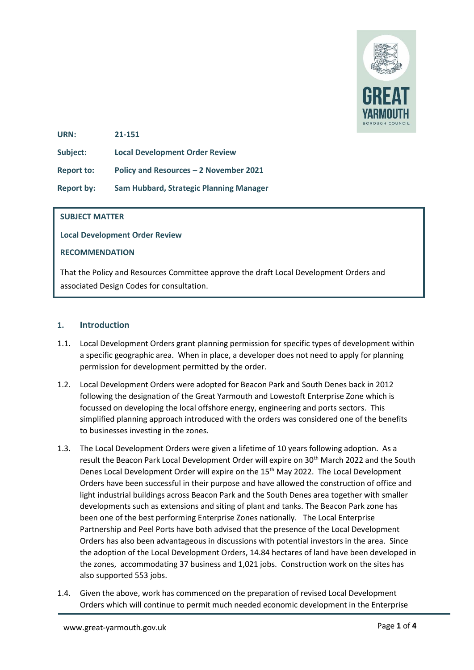

**URN: 21-151**

**Subject: Local Development Order Review**

**Report to: Policy and Resources – 2 November 2021**

**Report by: Sam Hubbard, Strategic Planning Manager**

### **SUBJECT MATTER**

**Local Development Order Review**

### **RECOMMENDATION**

That the Policy and Resources Committee approve the draft Local Development Orders and associated Design Codes for consultation.

### **1. Introduction**

- 1.1. Local Development Orders grant planning permission for specific types of development within a specific geographic area. When in place, a developer does not need to apply for planning permission for development permitted by the order.
- 1.2. Local Development Orders were adopted for Beacon Park and South Denes back in 2012 following the designation of the Great Yarmouth and Lowestoft Enterprise Zone which is focussed on developing the local offshore energy, engineering and ports sectors. This simplified planning approach introduced with the orders was considered one of the benefits to businesses investing in the zones.
- 1.3. The Local Development Orders were given a lifetime of 10 years following adoption. As a result the Beacon Park Local Development Order will expire on 30<sup>th</sup> March 2022 and the South Denes Local Development Order will expire on the 15<sup>th</sup> May 2022. The Local Development Orders have been successful in their purpose and have allowed the construction of office and light industrial buildings across Beacon Park and the South Denes area together with smaller developments such as extensions and siting of plant and tanks. The Beacon Park zone has been one of the best performing Enterprise Zones nationally. The Local Enterprise Partnership and Peel Ports have both advised that the presence of the Local Development Orders has also been advantageous in discussions with potential investors in the area. Since the adoption of the Local Development Orders, 14.84 hectares of land have been developed in the zones, accommodating 37 business and 1,021 jobs. Construction work on the sites has also supported 553 jobs.
- 1.4. Given the above, work has commenced on the preparation of revised Local Development Orders which will continue to permit much needed economic development in the Enterprise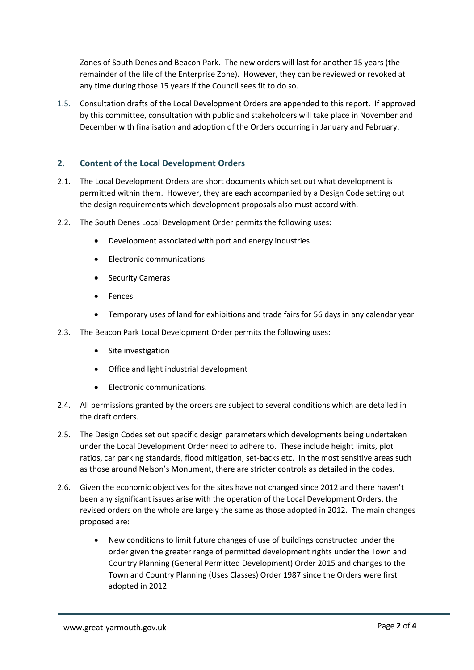Zones of South Denes and Beacon Park. The new orders will last for another 15 years (the remainder of the life of the Enterprise Zone). However, they can be reviewed or revoked at any time during those 15 years if the Council sees fit to do so.

1.5. Consultation drafts of the Local Development Orders are appended to this report. If approved by this committee, consultation with public and stakeholders will take place in November and December with finalisation and adoption of the Orders occurring in January and February.

## **2. Content of the Local Development Orders**

- 2.1. The Local Development Orders are short documents which set out what development is permitted within them. However, they are each accompanied by a Design Code setting out the design requirements which development proposals also must accord with.
- 2.2. The South Denes Local Development Order permits the following uses:
	- Development associated with port and energy industries
	- Electronic communications
	- Security Cameras
	- Fences
	- Temporary uses of land for exhibitions and trade fairs for 56 days in any calendar year
- 2.3. The Beacon Park Local Development Order permits the following uses:
	- Site investigation
	- Office and light industrial development
	- Electronic communications.
- 2.4. All permissions granted by the orders are subject to several conditions which are detailed in the draft orders.
- 2.5. The Design Codes set out specific design parameters which developments being undertaken under the Local Development Order need to adhere to. These include height limits, plot ratios, car parking standards, flood mitigation, set-backs etc. In the most sensitive areas such as those around Nelson's Monument, there are stricter controls as detailed in the codes.
- 2.6. Given the economic objectives for the sites have not changed since 2012 and there haven't been any significant issues arise with the operation of the Local Development Orders, the revised orders on the whole are largely the same as those adopted in 2012. The main changes proposed are:
	- New conditions to limit future changes of use of buildings constructed under the order given the greater range of permitted development rights under the Town and Country Planning (General Permitted Development) Order 2015 and changes to the Town and Country Planning (Uses Classes) Order 1987 since the Orders were first adopted in 2012.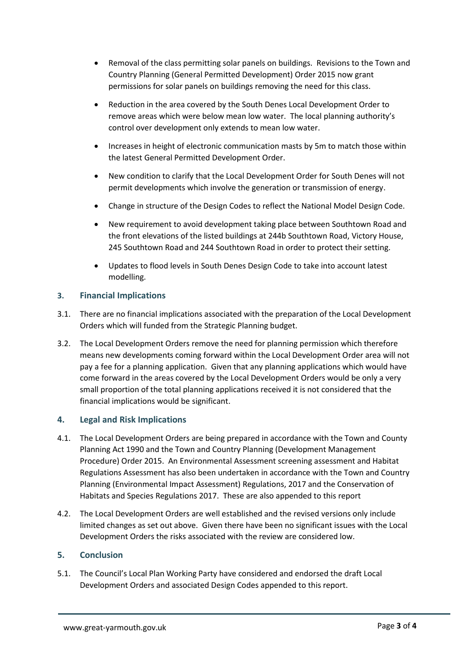- Removal of the class permitting solar panels on buildings. Revisions to the Town and Country Planning (General Permitted Development) Order 2015 now grant permissions for solar panels on buildings removing the need for this class.
- Reduction in the area covered by the South Denes Local Development Order to remove areas which were below mean low water. The local planning authority's control over development only extends to mean low water.
- Increases in height of electronic communication masts by 5m to match those within the latest General Permitted Development Order.
- New condition to clarify that the Local Development Order for South Denes will not permit developments which involve the generation or transmission of energy.
- Change in structure of the Design Codes to reflect the National Model Design Code.
- New requirement to avoid development taking place between Southtown Road and the front elevations of the listed buildings at 244b Southtown Road, Victory House, 245 Southtown Road and 244 Southtown Road in order to protect their setting.
- Updates to flood levels in South Denes Design Code to take into account latest modelling.

# **3. Financial Implications**

- 3.1. There are no financial implications associated with the preparation of the Local Development Orders which will funded from the Strategic Planning budget.
- 3.2. The Local Development Orders remove the need for planning permission which therefore means new developments coming forward within the Local Development Order area will not pay a fee for a planning application. Given that any planning applications which would have come forward in the areas covered by the Local Development Orders would be only a very small proportion of the total planning applications received it is not considered that the financial implications would be significant.

## **4. Legal and Risk Implications**

- 4.1. The Local Development Orders are being prepared in accordance with the Town and County Planning Act 1990 and the Town and Country Planning (Development Management Procedure) Order 2015. An Environmental Assessment screening assessment and Habitat Regulations Assessment has also been undertaken in accordance with the Town and Country Planning (Environmental Impact Assessment) Regulations, 2017 and the Conservation of Habitats and Species Regulations 2017. These are also appended to this report
- 4.2. The Local Development Orders are well established and the revised versions only include limited changes as set out above. Given there have been no significant issues with the Local Development Orders the risks associated with the review are considered low.

## **5. Conclusion**

5.1. The Council's Local Plan Working Party have considered and endorsed the draft Local Development Orders and associated Design Codes appended to this report.